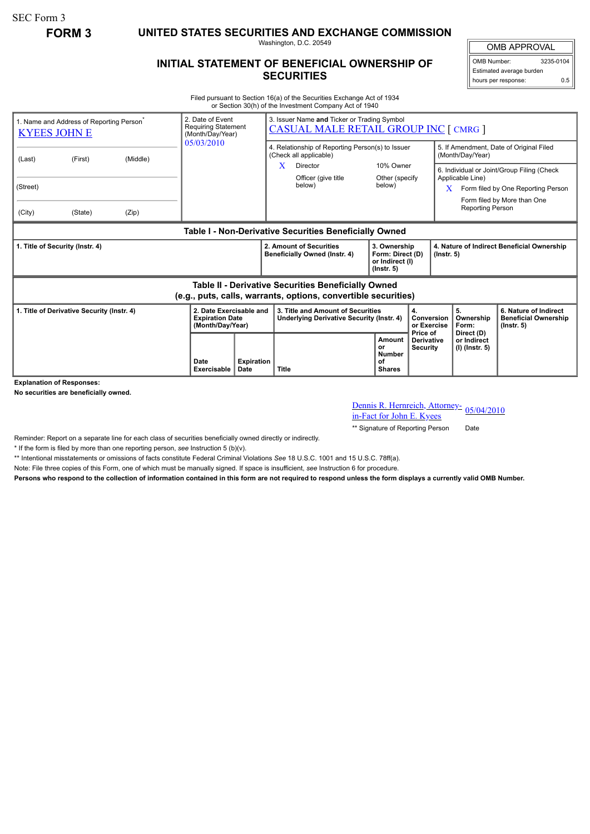SEC Form 3

**FORM 3 UNITED STATES SECURITIES AND EXCHANGE COMMISSION**

Washington, D.C. 20549

## **INITIAL STATEMENT OF BENEFICIAL OWNERSHIP OF SECURITIES**

OMB APPROVAL OMB Number: 3235-0104 Estimated average burden hours per response: 0.5

Filed pursuant to Section 16(a) of the Securities Exchange Act of 1934 or Section 30(h) of the Investment Company Act of 1940

| <b>KYEES JOHN E</b>                                                                                                          | 1. Name and Address of Reporting Person <sup>®</sup> |       | 2. Date of Event<br><b>Requiring Statement</b><br>(Month/Day/Year)    |                           | 3. Issuer Name and Ticker or Trading Symbol<br><b>CASUAL MALE RETAIL GROUP INC [ CMRG ]</b> |                                                  |                                                                         |                                                  |                                                                                                                                          |                                               |                                                                          |
|------------------------------------------------------------------------------------------------------------------------------|------------------------------------------------------|-------|-----------------------------------------------------------------------|---------------------------|---------------------------------------------------------------------------------------------|--------------------------------------------------|-------------------------------------------------------------------------|--------------------------------------------------|------------------------------------------------------------------------------------------------------------------------------------------|-----------------------------------------------|--------------------------------------------------------------------------|
| (Last)                                                                                                                       | (First)<br>(Middle)                                  |       | 05/03/2010                                                            |                           | (Check all applicable)                                                                      | 4. Relationship of Reporting Person(s) to Issuer |                                                                         |                                                  | 5. If Amendment, Date of Original Filed<br>(Month/Day/Year)                                                                              |                                               |                                                                          |
| (Street)                                                                                                                     |                                                      |       |                                                                       |                           | X                                                                                           | Director<br>Officer (give title<br>below)        | 10% Owner<br>Other (specify)<br>below)                                  |                                                  | 6. Individual or Joint/Group Filing (Check<br>Applicable Line)<br>X<br>Form filed by One Reporting Person<br>Form filed by More than One |                                               |                                                                          |
| (City)                                                                                                                       | (State)                                              | (Zip) |                                                                       |                           |                                                                                             |                                                  |                                                                         |                                                  | <b>Reporting Person</b>                                                                                                                  |                                               |                                                                          |
| Table I - Non-Derivative Securities Beneficially Owned                                                                       |                                                      |       |                                                                       |                           |                                                                                             |                                                  |                                                                         |                                                  |                                                                                                                                          |                                               |                                                                          |
| 1. Title of Security (Instr. 4)                                                                                              |                                                      |       |                                                                       |                           | 2. Amount of Securities<br>Beneficially Owned (Instr. 4)                                    |                                                  | 3. Ownership<br>Form: Direct (D)<br>or Indirect (I)<br>$($ lnstr. 5 $)$ |                                                  | 4. Nature of Indirect Beneficial Ownership<br>$($ lnstr. 5 $)$                                                                           |                                               |                                                                          |
| <b>Table II - Derivative Securities Beneficially Owned</b><br>(e.g., puts, calls, warrants, options, convertible securities) |                                                      |       |                                                                       |                           |                                                                                             |                                                  |                                                                         |                                                  |                                                                                                                                          |                                               |                                                                          |
| 1. Title of Derivative Security (Instr. 4)                                                                                   |                                                      |       | 2. Date Exercisable and<br><b>Expiration Date</b><br>(Month/Day/Year) |                           | 3. Title and Amount of Securities<br>Underlying Derivative Security (Instr. 4)              |                                                  | 4.                                                                      |                                                  | Conversion<br>or Exercise                                                                                                                | 5.<br>Ownership<br>Form:                      | 6. Nature of Indirect<br><b>Beneficial Ownership</b><br>$($ lnstr. 5 $)$ |
|                                                                                                                              |                                                      |       | Date<br><b>Exercisable</b>                                            | <b>Expiration</b><br>Date | <b>Title</b>                                                                                |                                                  | Amount<br>or<br><b>Number</b><br>οf<br><b>Shares</b>                    | Price of<br><b>Derivative</b><br><b>Security</b> |                                                                                                                                          | Direct (D)<br>or Indirect<br>$(I)$ (Instr. 5) |                                                                          |

**Explanation of Responses:**

**No securities are beneficially owned.**

## Dennis R. Hernreich, Attorneyin-Fact for John E. Kyees

\*\* Signature of Reporting Person Date

Reminder: Report on a separate line for each class of securities beneficially owned directly or indirectly.

\* If the form is filed by more than one reporting person, *see* Instruction 5 (b)(v).

\*\* Intentional misstatements or omissions of facts constitute Federal Criminal Violations *See* 18 U.S.C. 1001 and 15 U.S.C. 78ff(a).

Note: File three copies of this Form, one of which must be manually signed. If space is insufficient, *see* Instruction 6 for procedure.

**Persons who respond to the collection of information contained in this form are not required to respond unless the form displays a currently valid OMB Number.**